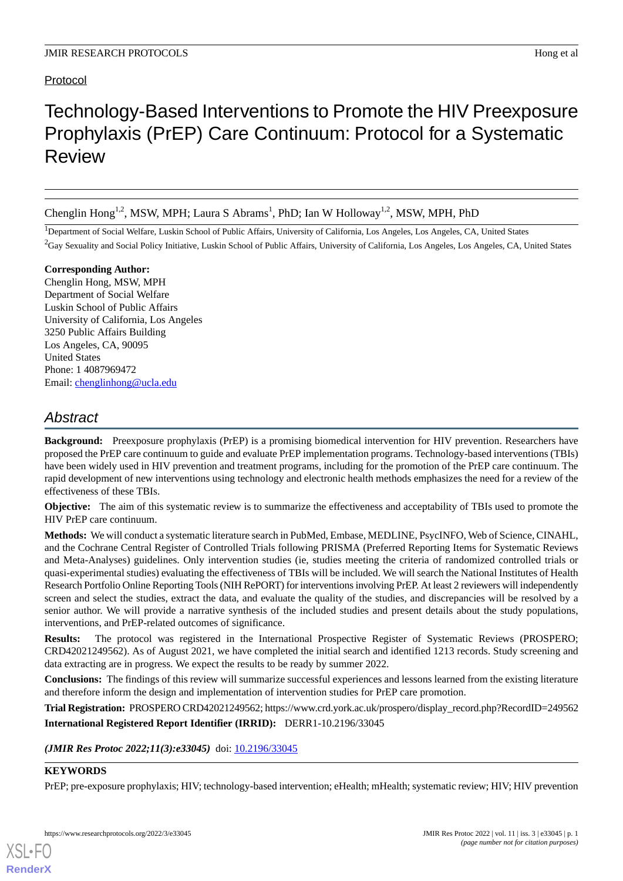# Protocol

# Technology-Based Interventions to Promote the HIV Preexposure Prophylaxis (PrEP) Care Continuum: Protocol for a Systematic Review

Chenglin Hong<sup>1,2</sup>, MSW, MPH; Laura S Abrams<sup>1</sup>, PhD; Ian W Holloway<sup>1,2</sup>, MSW, MPH, PhD

<sup>1</sup>Department of Social Welfare, Luskin School of Public Affairs, University of California, Los Angeles, Los Angeles, CA, United States  ${}^{2}$ Gay Sexuality and Social Policy Initiative, Luskin School of Public Affairs, University of California, Los Angeles, Los Angeles, CA, United States

#### **Corresponding Author:**

Chenglin Hong, MSW, MPH Department of Social Welfare Luskin School of Public Affairs University of California, Los Angeles 3250 Public Affairs Building Los Angeles, CA, 90095 United States Phone: 1 4087969472 Email: [chenglinhong@ucla.edu](mailto:chenglinhong@ucla.edu)

# *Abstract*

**Background:** Preexposure prophylaxis (PrEP) is a promising biomedical intervention for HIV prevention. Researchers have proposed the PrEP care continuum to guide and evaluate PrEP implementation programs. Technology-based interventions (TBIs) have been widely used in HIV prevention and treatment programs, including for the promotion of the PrEP care continuum. The rapid development of new interventions using technology and electronic health methods emphasizes the need for a review of the effectiveness of these TBIs.

**Objective:** The aim of this systematic review is to summarize the effectiveness and acceptability of TBIs used to promote the HIV PrEP care continuum.

**Methods:** We will conduct a systematic literature search in PubMed, Embase, MEDLINE, PsycINFO, Web of Science, CINAHL, and the Cochrane Central Register of Controlled Trials following PRISMA (Preferred Reporting Items for Systematic Reviews and Meta-Analyses) guidelines. Only intervention studies (ie, studies meeting the criteria of randomized controlled trials or quasi-experimental studies) evaluating the effectiveness of TBIs will be included. We will search the National Institutes of Health Research Portfolio Online Reporting Tools (NIH RePORT) for interventions involving PrEP. At least 2 reviewers will independently screen and select the studies, extract the data, and evaluate the quality of the studies, and discrepancies will be resolved by a senior author. We will provide a narrative synthesis of the included studies and present details about the study populations, interventions, and PrEP-related outcomes of significance.

**Results:** The protocol was registered in the International Prospective Register of Systematic Reviews (PROSPERO; CRD42021249562). As of August 2021, we have completed the initial search and identified 1213 records. Study screening and data extracting are in progress. We expect the results to be ready by summer 2022.

**Conclusions:** The findings of this review will summarize successful experiences and lessons learned from the existing literature and therefore inform the design and implementation of intervention studies for PrEP care promotion.

**Trial Registration:** PROSPERO CRD42021249562; https://www.crd.york.ac.uk/prospero/display\_record.php?RecordID=249562 **International Registered Report Identifier (IRRID):** DERR1-10.2196/33045

(JMIR Res Protoc 2022;11(3):e33045) doi: [10.2196/33045](http://dx.doi.org/10.2196/33045)

#### **KEYWORDS**

[XSL](http://www.w3.org/Style/XSL)•FO **[RenderX](http://www.renderx.com/)**

PrEP; pre-exposure prophylaxis; HIV; technology-based intervention; eHealth; mHealth; systematic review; HIV; HIV prevention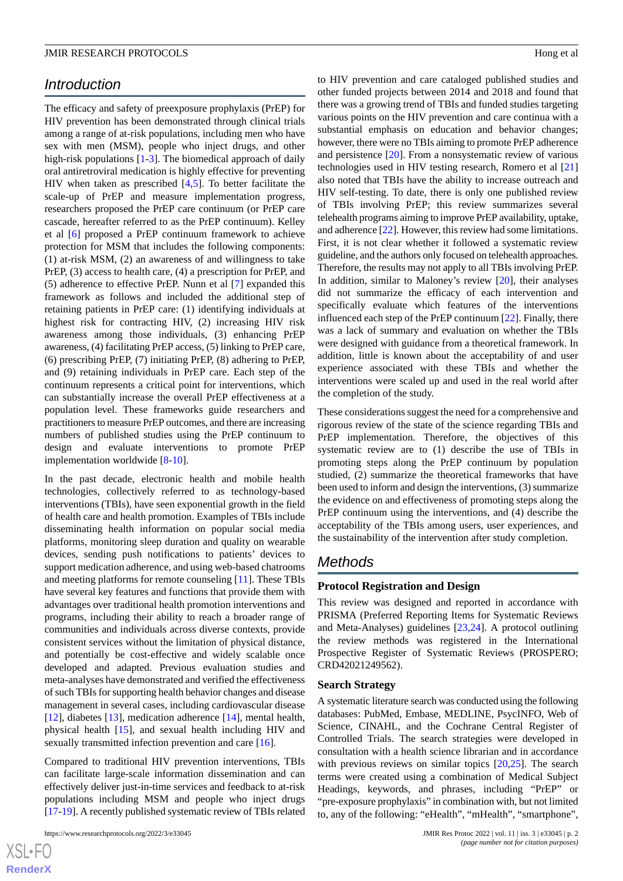## *Introduction*

The efficacy and safety of preexposure prophylaxis (PrEP) for HIV prevention has been demonstrated through clinical trials among a range of at-risk populations, including men who have sex with men (MSM), people who inject drugs, and other high-risk populations [\[1](#page-3-0)[-3](#page-3-1)]. The biomedical approach of daily oral antiretroviral medication is highly effective for preventing HIV when taken as prescribed [[4](#page-3-2)[,5\]](#page-3-3). To better facilitate the scale-up of PrEP and measure implementation progress, researchers proposed the PrEP care continuum (or PrEP care cascade, hereafter referred to as the PrEP continuum). Kelley et al [\[6\]](#page-3-4) proposed a PrEP continuum framework to achieve protection for MSM that includes the following components: (1) at-risk MSM, (2) an awareness of and willingness to take PrEP, (3) access to health care, (4) a prescription for PrEP, and (5) adherence to effective PrEP. Nunn et al [\[7](#page-4-0)] expanded this framework as follows and included the additional step of retaining patients in PrEP care: (1) identifying individuals at highest risk for contracting HIV, (2) increasing HIV risk awareness among those individuals, (3) enhancing PrEP awareness, (4) facilitating PrEP access, (5) linking to PrEP care, (6) prescribing PrEP, (7) initiating PrEP, (8) adhering to PrEP, and (9) retaining individuals in PrEP care. Each step of the continuum represents a critical point for interventions, which can substantially increase the overall PrEP effectiveness at a population level. These frameworks guide researchers and practitioners to measure PrEP outcomes, and there are increasing numbers of published studies using the PrEP continuum to design and evaluate interventions to promote PrEP implementation worldwide [\[8](#page-4-1)-[10\]](#page-4-2).

In the past decade, electronic health and mobile health technologies, collectively referred to as technology-based interventions (TBIs), have seen exponential growth in the field of health care and health promotion. Examples of TBIs include disseminating health information on popular social media platforms, monitoring sleep duration and quality on wearable devices, sending push notifications to patients' devices to support medication adherence, and using web-based chatrooms and meeting platforms for remote counseling [\[11](#page-4-3)]. These TBIs have several key features and functions that provide them with advantages over traditional health promotion interventions and programs, including their ability to reach a broader range of communities and individuals across diverse contexts, provide consistent services without the limitation of physical distance, and potentially be cost-effective and widely scalable once developed and adapted. Previous evaluation studies and meta-analyses have demonstrated and verified the effectiveness of such TBIs for supporting health behavior changes and disease management in several cases, including cardiovascular disease [[12\]](#page-4-4), diabetes [\[13](#page-4-5)], medication adherence [\[14](#page-4-6)], mental health, physical health [\[15](#page-4-7)], and sexual health including HIV and sexually transmitted infection prevention and care [\[16](#page-4-8)].

Compared to traditional HIV prevention interventions, TBIs can facilitate large-scale information dissemination and can effectively deliver just-in-time services and feedback to at-risk populations including MSM and people who inject drugs [[17-](#page-4-9)[19\]](#page-4-10). A recently published systematic review of TBIs related

to HIV prevention and care cataloged published studies and other funded projects between 2014 and 2018 and found that there was a growing trend of TBIs and funded studies targeting various points on the HIV prevention and care continua with a substantial emphasis on education and behavior changes; however, there were no TBIs aiming to promote PrEP adherence and persistence [[20\]](#page-4-11). From a nonsystematic review of various technologies used in HIV testing research, Romero et al [\[21](#page-4-12)] also noted that TBIs have the ability to increase outreach and HIV self-testing. To date, there is only one published review of TBIs involving PrEP; this review summarizes several telehealth programs aiming to improve PrEP availability, uptake, and adherence [[22\]](#page-4-13). However, this review had some limitations. First, it is not clear whether it followed a systematic review guideline, and the authors only focused on telehealth approaches. Therefore, the results may not apply to all TBIs involving PrEP. In addition, similar to Maloney's review [\[20](#page-4-11)], their analyses did not summarize the efficacy of each intervention and specifically evaluate which features of the interventions influenced each step of the PrEP continuum [\[22](#page-4-13)]. Finally, there was a lack of summary and evaluation on whether the TBIs were designed with guidance from a theoretical framework. In addition, little is known about the acceptability of and user experience associated with these TBIs and whether the interventions were scaled up and used in the real world after the completion of the study.

These considerations suggest the need for a comprehensive and rigorous review of the state of the science regarding TBIs and PrEP implementation. Therefore, the objectives of this systematic review are to (1) describe the use of TBIs in promoting steps along the PrEP continuum by population studied, (2) summarize the theoretical frameworks that have been used to inform and design the interventions, (3) summarize the evidence on and effectiveness of promoting steps along the PrEP continuum using the interventions, and (4) describe the acceptability of the TBIs among users, user experiences, and the sustainability of the intervention after study completion.

### *Methods*

#### **Protocol Registration and Design**

This review was designed and reported in accordance with PRISMA (Preferred Reporting Items for Systematic Reviews and Meta-Analyses) guidelines [\[23](#page-4-14),[24\]](#page-4-15). A protocol outlining the review methods was registered in the International Prospective Register of Systematic Reviews (PROSPERO; CRD42021249562).

#### **Search Strategy**

A systematic literature search was conducted using the following databases: PubMed, Embase, MEDLINE, PsycINFO, Web of Science, CINAHL, and the Cochrane Central Register of Controlled Trials. The search strategies were developed in consultation with a health science librarian and in accordance with previous reviews on similar topics [\[20](#page-4-11),[25\]](#page-4-16). The search terms were created using a combination of Medical Subject Headings, keywords, and phrases, including "PrEP" or "pre-exposure prophylaxis" in combination with, but not limited to, any of the following: "eHealth", "mHealth", "smartphone",

[XSL](http://www.w3.org/Style/XSL)•FO **[RenderX](http://www.renderx.com/)**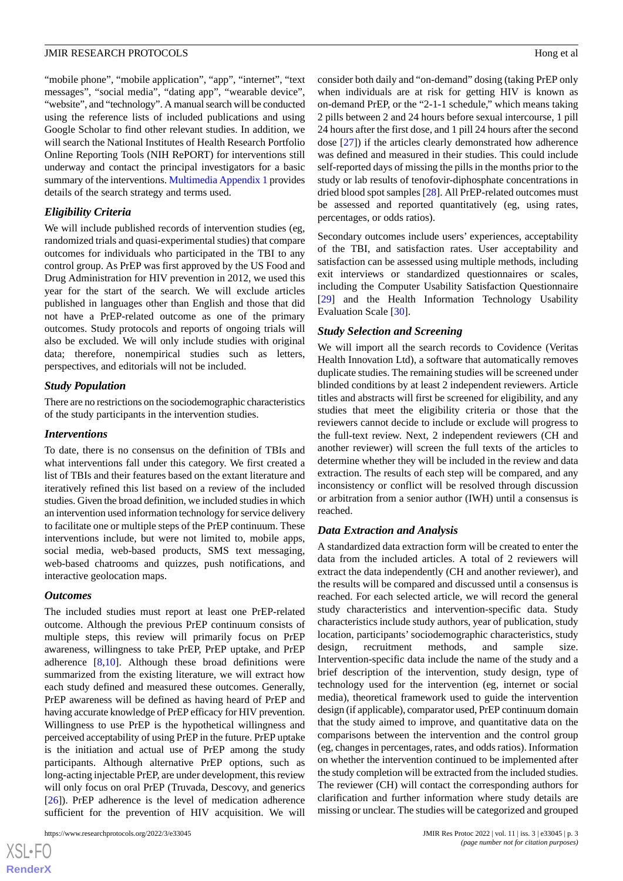"mobile phone", "mobile application", "app", "internet", "text messages", "social media", "dating app", "wearable device", "website", and "technology". A manual search will be conducted using the reference lists of included publications and using Google Scholar to find other relevant studies. In addition, we will search the National Institutes of Health Research Portfolio Online Reporting Tools (NIH RePORT) for interventions still underway and contact the principal investigators for a basic summary of the interventions. [Multimedia Appendix 1](#page-3-5) provides details of the search strategy and terms used.

#### *Eligibility Criteria*

We will include published records of intervention studies (eg, randomized trials and quasi-experimental studies) that compare outcomes for individuals who participated in the TBI to any control group. As PrEP was first approved by the US Food and Drug Administration for HIV prevention in 2012, we used this year for the start of the search. We will exclude articles published in languages other than English and those that did not have a PrEP-related outcome as one of the primary outcomes. Study protocols and reports of ongoing trials will also be excluded. We will only include studies with original data; therefore, nonempirical studies such as letters, perspectives, and editorials will not be included.

#### *Study Population*

There are no restrictions on the sociodemographic characteristics of the study participants in the intervention studies.

#### *Interventions*

To date, there is no consensus on the definition of TBIs and what interventions fall under this category. We first created a list of TBIs and their features based on the extant literature and iteratively refined this list based on a review of the included studies. Given the broad definition, we included studies in which an intervention used information technology for service delivery to facilitate one or multiple steps of the PrEP continuum. These interventions include, but were not limited to, mobile apps, social media, web-based products, SMS text messaging, web-based chatrooms and quizzes, push notifications, and interactive geolocation maps.

#### *Outcomes*

The included studies must report at least one PrEP-related outcome. Although the previous PrEP continuum consists of multiple steps, this review will primarily focus on PrEP awareness, willingness to take PrEP, PrEP uptake, and PrEP adherence  $[8,10]$  $[8,10]$  $[8,10]$  $[8,10]$ . Although these broad definitions were summarized from the existing literature, we will extract how each study defined and measured these outcomes. Generally, PrEP awareness will be defined as having heard of PrEP and having accurate knowledge of PrEP efficacy for HIV prevention. Willingness to use PrEP is the hypothetical willingness and perceived acceptability of using PrEP in the future. PrEP uptake is the initiation and actual use of PrEP among the study participants. Although alternative PrEP options, such as long-acting injectable PrEP, are under development, this review will only focus on oral PrEP (Truvada, Descovy, and generics [[26\]](#page-4-17)). PrEP adherence is the level of medication adherence sufficient for the prevention of HIV acquisition. We will

consider both daily and "on-demand" dosing (taking PrEP only when individuals are at risk for getting HIV is known as on-demand PrEP, or the "2-1-1 schedule," which means taking 2 pills between 2 and 24 hours before sexual intercourse, 1 pill 24 hours after the first dose, and 1 pill 24 hours after the second dose [\[27](#page-4-18)]) if the articles clearly demonstrated how adherence was defined and measured in their studies. This could include self-reported days of missing the pills in the months prior to the study or lab results of tenofovir-diphosphate concentrations in dried blood spot samples [\[28](#page-4-19)]. All PrEP-related outcomes must be assessed and reported quantitatively (eg, using rates, percentages, or odds ratios).

Secondary outcomes include users' experiences, acceptability of the TBI, and satisfaction rates. User acceptability and satisfaction can be assessed using multiple methods, including exit interviews or standardized questionnaires or scales, including the Computer Usability Satisfaction Questionnaire [[29\]](#page-5-0) and the Health Information Technology Usability Evaluation Scale [[30\]](#page-5-1).

#### *Study Selection and Screening*

We will import all the search records to Covidence (Veritas Health Innovation Ltd), a software that automatically removes duplicate studies. The remaining studies will be screened under blinded conditions by at least 2 independent reviewers. Article titles and abstracts will first be screened for eligibility, and any studies that meet the eligibility criteria or those that the reviewers cannot decide to include or exclude will progress to the full-text review. Next, 2 independent reviewers (CH and another reviewer) will screen the full texts of the articles to determine whether they will be included in the review and data extraction. The results of each step will be compared, and any inconsistency or conflict will be resolved through discussion or arbitration from a senior author (IWH) until a consensus is reached.

#### *Data Extraction and Analysis*

A standardized data extraction form will be created to enter the data from the included articles. A total of 2 reviewers will extract the data independently (CH and another reviewer), and the results will be compared and discussed until a consensus is reached. For each selected article, we will record the general study characteristics and intervention-specific data. Study characteristics include study authors, year of publication, study location, participants'sociodemographic characteristics, study design, recruitment methods, and sample size. Intervention-specific data include the name of the study and a brief description of the intervention, study design, type of technology used for the intervention (eg, internet or social media), theoretical framework used to guide the intervention design (if applicable), comparator used, PrEP continuum domain that the study aimed to improve, and quantitative data on the comparisons between the intervention and the control group (eg, changes in percentages, rates, and odds ratios). Information on whether the intervention continued to be implemented after the study completion will be extracted from the included studies. The reviewer (CH) will contact the corresponding authors for clarification and further information where study details are missing or unclear. The studies will be categorized and grouped

 $XS$  • FO **[RenderX](http://www.renderx.com/)**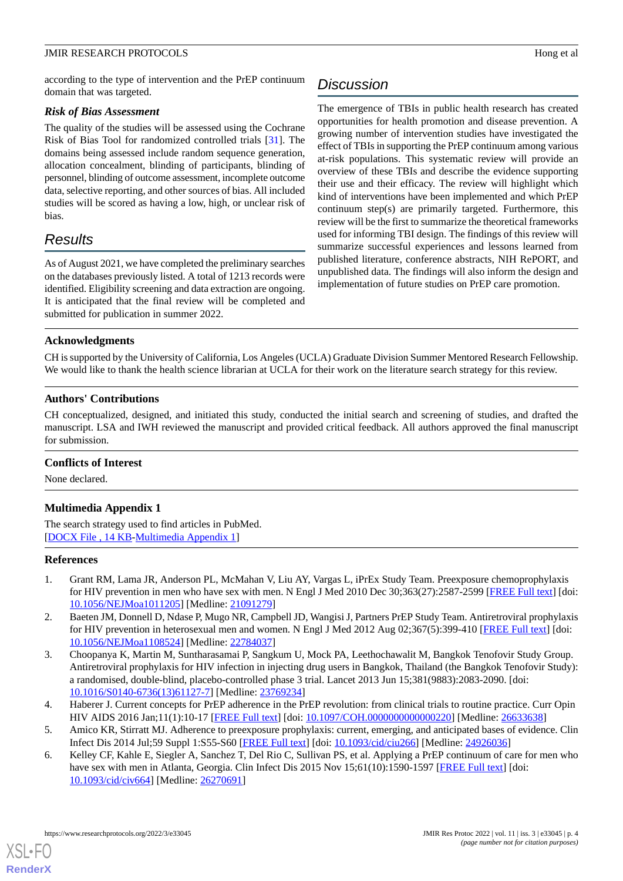#### JMIR RESEARCH PROTOCOLS FOR A SERVICE OF A SERVICE OF A SERVICE OF A SERVICE OF A SERVICE OF A SERVICE OF A SERVICE OF A SERVICE OF A SERVICE OF A SERVICE OF A SERVICE OF A SERVICE OF A SERVICE OF A SERVICE OF A SERVICE OF

according to the type of intervention and the PrEP continuum domain that was targeted.

#### *Risk of Bias Assessment*

The quality of the studies will be assessed using the Cochrane Risk of Bias Tool for randomized controlled trials [[31\]](#page-5-2). The domains being assessed include random sequence generation, allocation concealment, blinding of participants, blinding of personnel, blinding of outcome assessment, incomplete outcome data, selective reporting, and other sources of bias. All included studies will be scored as having a low, high, or unclear risk of bias.

# *Results*

As of August 2021, we have completed the preliminary searches on the databases previously listed. A total of 1213 records were identified. Eligibility screening and data extraction are ongoing. It is anticipated that the final review will be completed and submitted for publication in summer 2022.

# *Discussion*

The emergence of TBIs in public health research has created opportunities for health promotion and disease prevention. A growing number of intervention studies have investigated the effect of TBIs in supporting the PrEP continuum among various at-risk populations. This systematic review will provide an overview of these TBIs and describe the evidence supporting their use and their efficacy. The review will highlight which kind of interventions have been implemented and which PrEP continuum step(s) are primarily targeted. Furthermore, this review will be the first to summarize the theoretical frameworks used for informing TBI design. The findings of this review will summarize successful experiences and lessons learned from published literature, conference abstracts, NIH RePORT, and unpublished data. The findings will also inform the design and implementation of future studies on PrEP care promotion.

### **Acknowledgments**

CH is supported by the University of California, Los Angeles (UCLA) Graduate Division Summer Mentored Research Fellowship. We would like to thank the health science librarian at UCLA for their work on the literature search strategy for this review.

#### **Authors' Contributions**

CH conceptualized, designed, and initiated this study, conducted the initial search and screening of studies, and drafted the manuscript. LSA and IWH reviewed the manuscript and provided critical feedback. All authors approved the final manuscript for submission.

#### <span id="page-3-5"></span>**Conflicts of Interest**

None declared.

#### **Multimedia Appendix 1**

<span id="page-3-0"></span>The search strategy used to find articles in PubMed. [[DOCX File , 14 KB](https://jmir.org/api/download?alt_name=resprot_v11i3e33045_app1.docx&filename=247d9d3df671fc10f03c9b23b120cb9b.docx)-[Multimedia Appendix 1\]](https://jmir.org/api/download?alt_name=resprot_v11i3e33045_app1.docx&filename=247d9d3df671fc10f03c9b23b120cb9b.docx)

#### **References**

- <span id="page-3-1"></span>1. Grant RM, Lama JR, Anderson PL, McMahan V, Liu AY, Vargas L, iPrEx Study Team. Preexposure chemoprophylaxis for HIV prevention in men who have sex with men. N Engl J Med 2010 Dec 30;363(27):2587-2599 [\[FREE Full text](http://europepmc.org/abstract/MED/21091279)] [doi: [10.1056/NEJMoa1011205](http://dx.doi.org/10.1056/NEJMoa1011205)] [Medline: [21091279](http://www.ncbi.nlm.nih.gov/entrez/query.fcgi?cmd=Retrieve&db=PubMed&list_uids=21091279&dopt=Abstract)]
- <span id="page-3-2"></span>2. Baeten JM, Donnell D, Ndase P, Mugo NR, Campbell JD, Wangisi J, Partners PrEP Study Team. Antiretroviral prophylaxis for HIV prevention in heterosexual men and women. N Engl J Med 2012 Aug 02;367(5):399-410 [[FREE Full text](http://europepmc.org/abstract/MED/22784037)] [doi: [10.1056/NEJMoa1108524](http://dx.doi.org/10.1056/NEJMoa1108524)] [Medline: [22784037](http://www.ncbi.nlm.nih.gov/entrez/query.fcgi?cmd=Retrieve&db=PubMed&list_uids=22784037&dopt=Abstract)]
- <span id="page-3-3"></span>3. Choopanya K, Martin M, Suntharasamai P, Sangkum U, Mock PA, Leethochawalit M, Bangkok Tenofovir Study Group. Antiretroviral prophylaxis for HIV infection in injecting drug users in Bangkok, Thailand (the Bangkok Tenofovir Study): a randomised, double-blind, placebo-controlled phase 3 trial. Lancet 2013 Jun 15;381(9883):2083-2090. [doi: [10.1016/S0140-6736\(13\)61127-7\]](http://dx.doi.org/10.1016/S0140-6736(13)61127-7) [Medline: [23769234](http://www.ncbi.nlm.nih.gov/entrez/query.fcgi?cmd=Retrieve&db=PubMed&list_uids=23769234&dopt=Abstract)]
- <span id="page-3-4"></span>4. Haberer J. Current concepts for PrEP adherence in the PrEP revolution: from clinical trials to routine practice. Curr Opin HIV AIDS 2016 Jan;11(1):10-17 [[FREE Full text](http://europepmc.org/abstract/MED/26633638)] [doi: [10.1097/COH.0000000000000220](http://dx.doi.org/10.1097/COH.0000000000000220)] [Medline: [26633638](http://www.ncbi.nlm.nih.gov/entrez/query.fcgi?cmd=Retrieve&db=PubMed&list_uids=26633638&dopt=Abstract)]
- 5. Amico KR, Stirratt MJ. Adherence to preexposure prophylaxis: current, emerging, and anticipated bases of evidence. Clin Infect Dis 2014 Jul;59 Suppl 1:S55-S60 [\[FREE Full text](http://europepmc.org/abstract/MED/24926036)] [doi: [10.1093/cid/ciu266](http://dx.doi.org/10.1093/cid/ciu266)] [Medline: [24926036\]](http://www.ncbi.nlm.nih.gov/entrez/query.fcgi?cmd=Retrieve&db=PubMed&list_uids=24926036&dopt=Abstract)
- 6. Kelley CF, Kahle E, Siegler A, Sanchez T, Del Rio C, Sullivan PS, et al. Applying a PrEP continuum of care for men who have sex with men in Atlanta, Georgia. Clin Infect Dis 2015 Nov 15;61(10):1590-1597 [\[FREE Full text\]](http://europepmc.org/abstract/MED/26270691) [doi: [10.1093/cid/civ664\]](http://dx.doi.org/10.1093/cid/civ664) [Medline: [26270691\]](http://www.ncbi.nlm.nih.gov/entrez/query.fcgi?cmd=Retrieve&db=PubMed&list_uids=26270691&dopt=Abstract)

[XSL](http://www.w3.org/Style/XSL)•FO **[RenderX](http://www.renderx.com/)**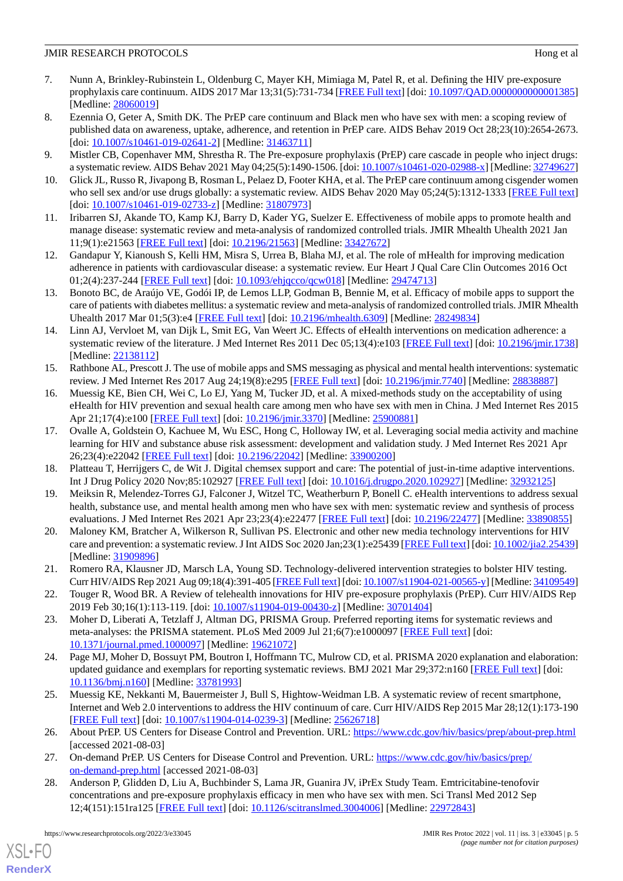- <span id="page-4-0"></span>7. Nunn A, Brinkley-Rubinstein L, Oldenburg C, Mayer KH, Mimiaga M, Patel R, et al. Defining the HIV pre-exposure prophylaxis care continuum. AIDS 2017 Mar 13;31(5):731-734 [\[FREE Full text\]](http://europepmc.org/abstract/MED/28060019) [doi: [10.1097/QAD.0000000000001385](http://dx.doi.org/10.1097/QAD.0000000000001385)] [Medline: [28060019](http://www.ncbi.nlm.nih.gov/entrez/query.fcgi?cmd=Retrieve&db=PubMed&list_uids=28060019&dopt=Abstract)]
- <span id="page-4-1"></span>8. Ezennia O, Geter A, Smith DK. The PrEP care continuum and Black men who have sex with men: a scoping review of published data on awareness, uptake, adherence, and retention in PrEP care. AIDS Behav 2019 Oct 28;23(10):2654-2673. [doi: [10.1007/s10461-019-02641-2](http://dx.doi.org/10.1007/s10461-019-02641-2)] [Medline: [31463711\]](http://www.ncbi.nlm.nih.gov/entrez/query.fcgi?cmd=Retrieve&db=PubMed&list_uids=31463711&dopt=Abstract)
- <span id="page-4-2"></span>9. Mistler CB, Copenhaver MM, Shrestha R. The Pre-exposure prophylaxis (PrEP) care cascade in people who inject drugs: a systematic review. AIDS Behav 2021 May 04;25(5):1490-1506. [doi: [10.1007/s10461-020-02988-x\]](http://dx.doi.org/10.1007/s10461-020-02988-x) [Medline: [32749627\]](http://www.ncbi.nlm.nih.gov/entrez/query.fcgi?cmd=Retrieve&db=PubMed&list_uids=32749627&dopt=Abstract)
- <span id="page-4-3"></span>10. Glick JL, Russo R, Jivapong B, Rosman L, Pelaez D, Footer KHA, et al. The PrEP care continuum among cisgender women who sell sex and/or use drugs globally: a systematic review. AIDS Behav 2020 May 05;24(5):1312-1333 [\[FREE Full text](http://europepmc.org/abstract/MED/31807973)] [doi: [10.1007/s10461-019-02733-z](http://dx.doi.org/10.1007/s10461-019-02733-z)] [Medline: [31807973](http://www.ncbi.nlm.nih.gov/entrez/query.fcgi?cmd=Retrieve&db=PubMed&list_uids=31807973&dopt=Abstract)]
- <span id="page-4-4"></span>11. Iribarren SJ, Akande TO, Kamp KJ, Barry D, Kader YG, Suelzer E. Effectiveness of mobile apps to promote health and manage disease: systematic review and meta-analysis of randomized controlled trials. JMIR Mhealth Uhealth 2021 Jan 11;9(1):e21563 [\[FREE Full text](https://mhealth.jmir.org/2021/1/e21563/)] [doi: [10.2196/21563\]](http://dx.doi.org/10.2196/21563) [Medline: [33427672\]](http://www.ncbi.nlm.nih.gov/entrez/query.fcgi?cmd=Retrieve&db=PubMed&list_uids=33427672&dopt=Abstract)
- <span id="page-4-5"></span>12. Gandapur Y, Kianoush S, Kelli HM, Misra S, Urrea B, Blaha MJ, et al. The role of mHealth for improving medication adherence in patients with cardiovascular disease: a systematic review. Eur Heart J Qual Care Clin Outcomes 2016 Oct 01;2(4):237-244 [[FREE Full text](http://europepmc.org/abstract/MED/29474713)] [doi: [10.1093/ehjqcco/qcw018](http://dx.doi.org/10.1093/ehjqcco/qcw018)] [Medline: [29474713](http://www.ncbi.nlm.nih.gov/entrez/query.fcgi?cmd=Retrieve&db=PubMed&list_uids=29474713&dopt=Abstract)]
- <span id="page-4-6"></span>13. Bonoto BC, de Araújo VE, Godói IP, de Lemos LLP, Godman B, Bennie M, et al. Efficacy of mobile apps to support the care of patients with diabetes mellitus: a systematic review and meta-analysis of randomized controlled trials. JMIR Mhealth Uhealth 2017 Mar 01;5(3):e4 [[FREE Full text](https://mhealth.jmir.org/2017/3/e4/)] [doi: [10.2196/mhealth.6309\]](http://dx.doi.org/10.2196/mhealth.6309) [Medline: [28249834](http://www.ncbi.nlm.nih.gov/entrez/query.fcgi?cmd=Retrieve&db=PubMed&list_uids=28249834&dopt=Abstract)]
- <span id="page-4-7"></span>14. Linn AJ, Vervloet M, van Dijk L, Smit EG, Van Weert JC. Effects of eHealth interventions on medication adherence: a systematic review of the literature. J Med Internet Res 2011 Dec 05;13(4):e103 [\[FREE Full text](https://www.jmir.org/2011/4/e103/)] [doi: [10.2196/jmir.1738](http://dx.doi.org/10.2196/jmir.1738)] [Medline: [22138112](http://www.ncbi.nlm.nih.gov/entrez/query.fcgi?cmd=Retrieve&db=PubMed&list_uids=22138112&dopt=Abstract)]
- <span id="page-4-8"></span>15. Rathbone AL, Prescott J. The use of mobile apps and SMS messaging as physical and mental health interventions: systematic review. J Med Internet Res 2017 Aug 24;19(8):e295 [[FREE Full text](https://www.jmir.org/2017/8/e295/)] [doi: [10.2196/jmir.7740](http://dx.doi.org/10.2196/jmir.7740)] [Medline: [28838887\]](http://www.ncbi.nlm.nih.gov/entrez/query.fcgi?cmd=Retrieve&db=PubMed&list_uids=28838887&dopt=Abstract)
- <span id="page-4-9"></span>16. Muessig KE, Bien CH, Wei C, Lo EJ, Yang M, Tucker JD, et al. A mixed-methods study on the acceptability of using eHealth for HIV prevention and sexual health care among men who have sex with men in China. J Med Internet Res 2015 Apr 21;17(4):e100 [\[FREE Full text\]](https://www.jmir.org/2015/4/e100/) [doi: [10.2196/jmir.3370\]](http://dx.doi.org/10.2196/jmir.3370) [Medline: [25900881](http://www.ncbi.nlm.nih.gov/entrez/query.fcgi?cmd=Retrieve&db=PubMed&list_uids=25900881&dopt=Abstract)]
- <span id="page-4-10"></span>17. Ovalle A, Goldstein O, Kachuee M, Wu ESC, Hong C, Holloway IW, et al. Leveraging social media activity and machine learning for HIV and substance abuse risk assessment: development and validation study. J Med Internet Res 2021 Apr 26;23(4):e22042 [\[FREE Full text](https://www.jmir.org/2021/4/e22042/)] [doi: [10.2196/22042\]](http://dx.doi.org/10.2196/22042) [Medline: [33900200\]](http://www.ncbi.nlm.nih.gov/entrez/query.fcgi?cmd=Retrieve&db=PubMed&list_uids=33900200&dopt=Abstract)
- <span id="page-4-11"></span>18. Platteau T, Herrijgers C, de Wit J. Digital chemsex support and care: The potential of just-in-time adaptive interventions. Int J Drug Policy 2020 Nov;85:102927 [\[FREE Full text\]](https://linkinghub.elsevier.com/retrieve/pii/S0955-3959(20)30266-8) [doi: [10.1016/j.drugpo.2020.102927\]](http://dx.doi.org/10.1016/j.drugpo.2020.102927) [Medline: [32932125\]](http://www.ncbi.nlm.nih.gov/entrez/query.fcgi?cmd=Retrieve&db=PubMed&list_uids=32932125&dopt=Abstract)
- <span id="page-4-12"></span>19. Meiksin R, Melendez-Torres GJ, Falconer J, Witzel TC, Weatherburn P, Bonell C. eHealth interventions to address sexual health, substance use, and mental health among men who have sex with men: systematic review and synthesis of process evaluations. J Med Internet Res 2021 Apr 23;23(4):e22477 [[FREE Full text](https://www.jmir.org/2021/4/e22477/)] [doi: [10.2196/22477\]](http://dx.doi.org/10.2196/22477) [Medline: [33890855\]](http://www.ncbi.nlm.nih.gov/entrez/query.fcgi?cmd=Retrieve&db=PubMed&list_uids=33890855&dopt=Abstract)
- <span id="page-4-13"></span>20. Maloney KM, Bratcher A, Wilkerson R, Sullivan PS. Electronic and other new media technology interventions for HIV care and prevention: a systematic review. J Int AIDS Soc 2020 Jan;23(1):e25439 [[FREE Full text\]](http://europepmc.org/abstract/MED/31909896) [doi: [10.1002/jia2.25439](http://dx.doi.org/10.1002/jia2.25439)] [Medline: [31909896](http://www.ncbi.nlm.nih.gov/entrez/query.fcgi?cmd=Retrieve&db=PubMed&list_uids=31909896&dopt=Abstract)]
- <span id="page-4-14"></span>21. Romero RA, Klausner JD, Marsch LA, Young SD. Technology-delivered intervention strategies to bolster HIV testing. Curr HIV/AIDS Rep 2021 Aug 09;18(4):391-405 [[FREE Full text](http://europepmc.org/abstract/MED/34109549)] [doi: [10.1007/s11904-021-00565-y](http://dx.doi.org/10.1007/s11904-021-00565-y)] [Medline: [34109549\]](http://www.ncbi.nlm.nih.gov/entrez/query.fcgi?cmd=Retrieve&db=PubMed&list_uids=34109549&dopt=Abstract)
- <span id="page-4-15"></span>22. Touger R, Wood BR. A Review of telehealth innovations for HIV pre-exposure prophylaxis (PrEP). Curr HIV/AIDS Rep 2019 Feb 30;16(1):113-119. [doi: [10.1007/s11904-019-00430-z](http://dx.doi.org/10.1007/s11904-019-00430-z)] [Medline: [30701404\]](http://www.ncbi.nlm.nih.gov/entrez/query.fcgi?cmd=Retrieve&db=PubMed&list_uids=30701404&dopt=Abstract)
- <span id="page-4-16"></span>23. Moher D, Liberati A, Tetzlaff J, Altman DG, PRISMA Group. Preferred reporting items for systematic reviews and meta-analyses: the PRISMA statement. PLoS Med 2009 Jul 21;6(7):e1000097 [[FREE Full text](https://dx.plos.org/10.1371/journal.pmed.1000097)] [doi: [10.1371/journal.pmed.1000097](http://dx.doi.org/10.1371/journal.pmed.1000097)] [Medline: [19621072](http://www.ncbi.nlm.nih.gov/entrez/query.fcgi?cmd=Retrieve&db=PubMed&list_uids=19621072&dopt=Abstract)]
- <span id="page-4-17"></span>24. Page MJ, Moher D, Bossuyt PM, Boutron I, Hoffmann TC, Mulrow CD, et al. PRISMA 2020 explanation and elaboration: updated guidance and exemplars for reporting systematic reviews. BMJ 2021 Mar 29;372:n160 [\[FREE Full text\]](http://www.bmj.com/lookup/pmidlookup?view=long&pmid=33781993) [doi: [10.1136/bmj.n160\]](http://dx.doi.org/10.1136/bmj.n160) [Medline: [33781993\]](http://www.ncbi.nlm.nih.gov/entrez/query.fcgi?cmd=Retrieve&db=PubMed&list_uids=33781993&dopt=Abstract)
- <span id="page-4-19"></span><span id="page-4-18"></span>25. Muessig KE, Nekkanti M, Bauermeister J, Bull S, Hightow-Weidman LB. A systematic review of recent smartphone, Internet and Web 2.0 interventions to address the HIV continuum of care. Curr HIV/AIDS Rep 2015 Mar 28;12(1):173-190 [[FREE Full text](http://europepmc.org/abstract/MED/25626718)] [doi: [10.1007/s11904-014-0239-3\]](http://dx.doi.org/10.1007/s11904-014-0239-3) [Medline: [25626718](http://www.ncbi.nlm.nih.gov/entrez/query.fcgi?cmd=Retrieve&db=PubMed&list_uids=25626718&dopt=Abstract)]
- 26. About PrEP. US Centers for Disease Control and Prevention. URL: <https://www.cdc.gov/hiv/basics/prep/about-prep.html> [accessed 2021-08-03]
- 27. On-demand PrEP. US Centers for Disease Control and Prevention. URL: [https://www.cdc.gov/hiv/basics/prep/](https://www.cdc.gov/hiv/basics/prep/on-demand-prep.html) [on-demand-prep.html](https://www.cdc.gov/hiv/basics/prep/on-demand-prep.html) [accessed 2021-08-03]
- 28. Anderson P, Glidden D, Liu A, Buchbinder S, Lama JR, Guanira JV, iPrEx Study Team. Emtricitabine-tenofovir concentrations and pre-exposure prophylaxis efficacy in men who have sex with men. Sci Transl Med 2012 Sep 12;4(151):151ra125 [\[FREE Full text\]](http://europepmc.org/abstract/MED/22972843) [doi: [10.1126/scitranslmed.3004006](http://dx.doi.org/10.1126/scitranslmed.3004006)] [Medline: [22972843](http://www.ncbi.nlm.nih.gov/entrez/query.fcgi?cmd=Retrieve&db=PubMed&list_uids=22972843&dopt=Abstract)]

[XSL](http://www.w3.org/Style/XSL)•FO **[RenderX](http://www.renderx.com/)**